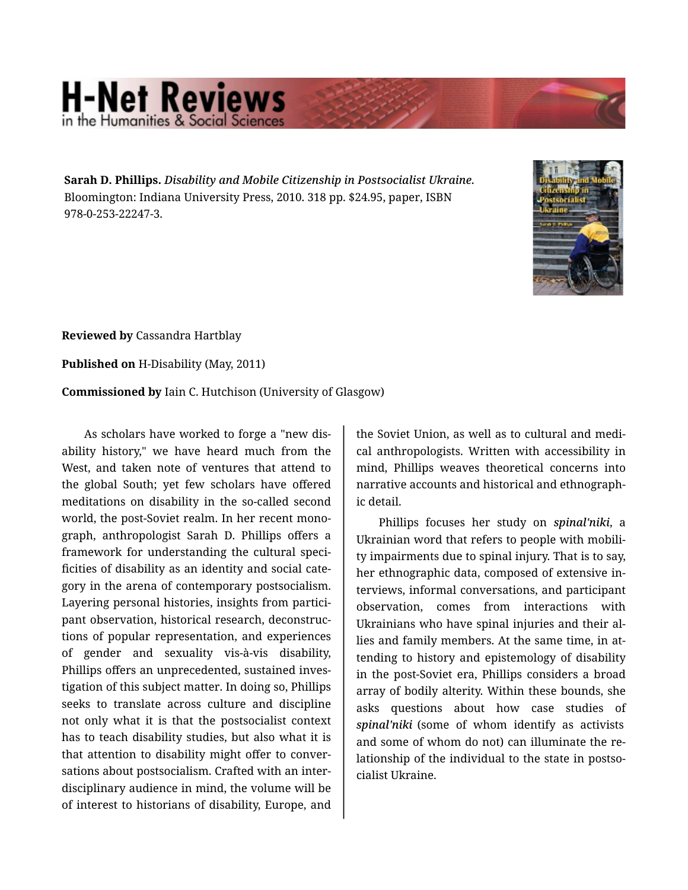## **H-Net Reviews** in the Humanities & Social Scie

**Sarah D. Phillips.** *Disability and Mobile Citizenship in Postsocialist Ukraine.*  Bloomington: Indiana University Press, 2010. 318 pp. \$24.95, paper, ISBN 978-0-253-22247-3.



**Reviewed by** Cassandra Hartblay

**Published on** H-Disability (May, 2011)

**Commissioned by** Iain C. Hutchison (University of Glasgow)

As scholars have worked to forge a "new dis‐ ability history," we have heard much from the West, and taken note of ventures that attend to the global South; yet few scholars have offered meditations on disability in the so-called second world, the post-Soviet realm. In her recent mono‐ graph, anthropologist Sarah D. Phillips offers a framework for understanding the cultural speci‐ ficities of disability as an identity and social cate‐ gory in the arena of contemporary postsocialism. Layering personal histories, insights from partici‐ pant observation, historical research, deconstruc‐ tions of popular representation, and experiences of gender and sexuality vis-à-vis disability, Phillips offers an unprecedented, sustained inves‐ tigation of this subject matter. In doing so, Phillips seeks to translate across culture and discipline not only what it is that the postsocialist context has to teach disability studies, but also what it is that attention to disability might offer to conver‐ sations about postsocialism. Crafted with an inter‐ disciplinary audience in mind, the volume will be of interest to historians of disability, Europe, and

the Soviet Union, as well as to cultural and medi‐ cal anthropologists. Written with accessibility in mind, Phillips weaves theoretical concerns into narrative accounts and historical and ethnograph‐ ic detail.

Phillips focuses her study on *spinal'niki*, a Ukrainian word that refers to people with mobili‐ ty impairments due to spinal injury. That is to say, her ethnographic data, composed of extensive in‐ terviews, informal conversations, and participant observation, comes from interactions with Ukrainians who have spinal injuries and their al‐ lies and family members. At the same time, in at‐ tending to history and epistemology of disability in the post-Soviet era, Phillips considers a broad array of bodily alterity. Within these bounds, she asks questions about how case studies of *spinal'niki* (some of whom identify as activists and some of whom do not) can illuminate the re‐ lationship of the individual to the state in postso‐ cialist Ukraine.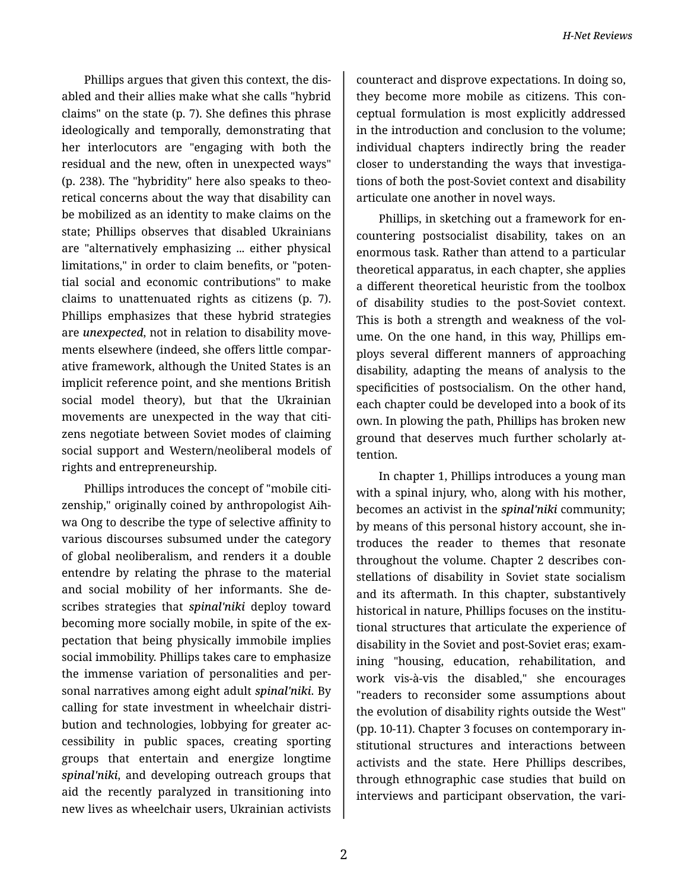Phillips argues that given this context, the dis‐ abled and their allies make what she calls "hybrid claims" on the state (p. 7). She defines this phrase ideologically and temporally, demonstrating that her interlocutors are "engaging with both the residual and the new, often in unexpected ways" (p. 238). The "hybridity" here also speaks to theo‐ retical concerns about the way that disability can be mobilized as an identity to make claims on the state; Phillips observes that disabled Ukrainians are "alternatively emphasizing ... either physical limitations," in order to claim benefits, or "poten‐ tial social and economic contributions" to make claims to unattenuated rights as citizens (p. 7). Phillips emphasizes that these hybrid strategies are *unexpected*, not in relation to disability move‐ ments elsewhere (indeed, she offers little compar‐ ative framework, although the United States is an implicit reference point, and she mentions British social model theory), but that the Ukrainian movements are unexpected in the way that citi‐ zens negotiate between Soviet modes of claiming social support and Western/neoliberal models of rights and entrepreneurship.

Phillips introduces the concept of "mobile citi‐ zenship," originally coined by anthropologist Aih‐ wa Ong to describe the type of selective affinity to various discourses subsumed under the category of global neoliberalism, and renders it a double entendre by relating the phrase to the material and social mobility of her informants. She de‐ scribes strategies that *spinal'niki* deploy toward becoming more socially mobile, in spite of the ex‐ pectation that being physically immobile implies social immobility. Phillips takes care to emphasize the immense variation of personalities and per‐ sonal narratives among eight adult *spinal'niki*. By calling for state investment in wheelchair distri‐ bution and technologies, lobbying for greater ac‐ cessibility in public spaces, creating sporting groups that entertain and energize longtime *spinal'niki*, and developing outreach groups that aid the recently paralyzed in transitioning into new lives as wheelchair users, Ukrainian activists

counteract and disprove expectations. In doing so, they become more mobile as citizens. This con‐ ceptual formulation is most explicitly addressed in the introduction and conclusion to the volume; individual chapters indirectly bring the reader closer to understanding the ways that investiga‐ tions of both the post-Soviet context and disability articulate one another in novel ways.

Phillips, in sketching out a framework for en‐ countering postsocialist disability, takes on an enormous task. Rather than attend to a particular theoretical apparatus, in each chapter, she applies a different theoretical heuristic from the toolbox of disability studies to the post-Soviet context. This is both a strength and weakness of the vol‐ ume. On the one hand, in this way, Phillips em‐ ploys several different manners of approaching disability, adapting the means of analysis to the specificities of postsocialism. On the other hand, each chapter could be developed into a book of its own. In plowing the path, Phillips has broken new ground that deserves much further scholarly at‐ tention.

In chapter 1, Phillips introduces a young man with a spinal injury, who, along with his mother, becomes an activist in the *spinal'niki* community; by means of this personal history account, she in‐ troduces the reader to themes that resonate throughout the volume. Chapter 2 describes con‐ stellations of disability in Soviet state socialism and its aftermath. In this chapter, substantively historical in nature, Phillips focuses on the institu‐ tional structures that articulate the experience of disability in the Soviet and post-Soviet eras; exam‐ ining "housing, education, rehabilitation, and work vis-à-vis the disabled," she encourages "readers to reconsider some assumptions about the evolution of disability rights outside the West" (pp. 10-11). Chapter 3 focuses on contemporary in‐ stitutional structures and interactions between activists and the state. Here Phillips describes, through ethnographic case studies that build on interviews and participant observation, the vari‐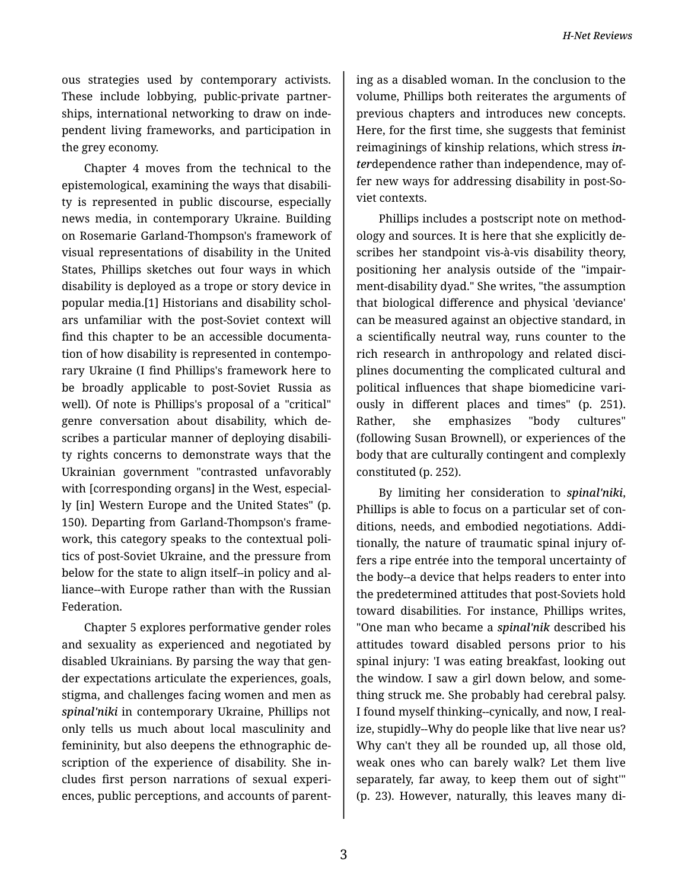*H-Net Reviews*

ous strategies used by contemporary activists. These include lobbying, public-private partner‐ ships, international networking to draw on inde‐ pendent living frameworks, and participation in the grey economy.

Chapter 4 moves from the technical to the epistemological, examining the ways that disabili‐ ty is represented in public discourse, especially news media, in contemporary Ukraine. Building on Rosemarie Garland-Thompson's framework of visual representations of disability in the United States, Phillips sketches out four ways in which disability is deployed as a trope or story device in popular media.[1] Historians and disability schol‐ ars unfamiliar with the post-Soviet context will find this chapter to be an accessible documenta‐ tion of how disability is represented in contempo‐ rary Ukraine (I find Phillips's framework here to be broadly applicable to post-Soviet Russia as well). Of note is Phillips's proposal of a "critical" genre conversation about disability, which de‐ scribes a particular manner of deploying disabili‐ ty rights concerns to demonstrate ways that the Ukrainian government "contrasted unfavorably with [corresponding organs] in the West, especially [in] Western Europe and the United States" (p. 150). Departing from Garland-Thompson's frame‐ work, this category speaks to the contextual poli‐ tics of post-Soviet Ukraine, and the pressure from below for the state to align itself--in policy and al‐ liance--with Europe rather than with the Russian Federation.

Chapter 5 explores performative gender roles and sexuality as experienced and negotiated by disabled Ukrainians. By parsing the way that gen‐ der expectations articulate the experiences, goals, stigma, and challenges facing women and men as *spinal'niki* in contemporary Ukraine, Phillips not only tells us much about local masculinity and femininity, but also deepens the ethnographic de‐ scription of the experience of disability. She in‐ cludes first person narrations of sexual experi‐ ences, public perceptions, and accounts of parent‐

ing as a disabled woman. In the conclusion to the volume, Phillips both reiterates the arguments of previous chapters and introduces new concepts. Here, for the first time, she suggests that feminist reimaginings of kinship relations, which stress *in‐ ter*dependence rather than independence, may of‐ fer new ways for addressing disability in post-So‐ viet contexts.

Phillips includes a postscript note on method‐ ology and sources. It is here that she explicitly de‐ scribes her standpoint vis-à-vis disability theory, positioning her analysis outside of the "impair‐ ment-disability dyad." She writes, "the assumption that biological difference and physical 'deviance' can be measured against an objective standard, in a scientifically neutral way, runs counter to the rich research in anthropology and related disci‐ plines documenting the complicated cultural and political influences that shape biomedicine vari‐ ously in different places and times" (p. 251). Rather, she emphasizes "body cultures" (following Susan Brownell), or experiences of the body that are culturally contingent and complexly constituted (p. 252).

By limiting her consideration to *spinal'niki*, Phillips is able to focus on a particular set of con‐ ditions, needs, and embodied negotiations. Addi‐ tionally, the nature of traumatic spinal injury of‐ fers a ripe entrée into the temporal uncertainty of the body--a device that helps readers to enter into the predetermined attitudes that post-Soviets hold toward disabilities. For instance, Phillips writes, "One man who became a *spinal'nik* described his attitudes toward disabled persons prior to his spinal injury: 'I was eating breakfast, looking out the window. I saw a girl down below, and some‐ thing struck me. She probably had cerebral palsy. I found myself thinking--cynically, and now, I real‐ ize, stupidly--Why do people like that live near us? Why can't they all be rounded up, all those old, weak ones who can barely walk? Let them live separately, far away, to keep them out of sight'" (p. 23). However, naturally, this leaves many di‐

3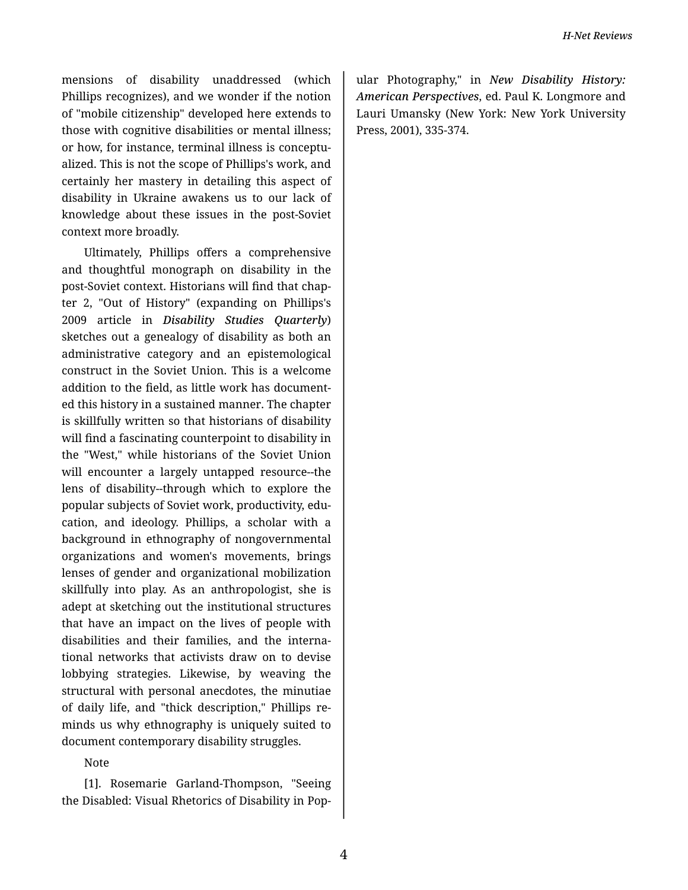mensions of disability unaddressed (which Phillips recognizes), and we wonder if the notion of "mobile citizenship" developed here extends to those with cognitive disabilities or mental illness; or how, for instance, terminal illness is conceptu‐ alized. This is not the scope of Phillips's work, and certainly her mastery in detailing this aspect of disability in Ukraine awakens us to our lack of knowledge about these issues in the post-Soviet context more broadly.

Ultimately, Phillips offers a comprehensive and thoughtful monograph on disability in the post-Soviet context. Historians will find that chap‐ ter 2, "Out of History" (expanding on Phillips's 2009 article in *Disability Studies Quarterly*) sketches out a genealogy of disability as both an administrative category and an epistemological construct in the Soviet Union. This is a welcome addition to the field, as little work has document‐ ed this history in a sustained manner. The chapter is skillfully written so that historians of disability will find a fascinating counterpoint to disability in the "West," while historians of the Soviet Union will encounter a largely untapped resource--the lens of disability--through which to explore the popular subjects of Soviet work, productivity, edu‐ cation, and ideology. Phillips, a scholar with a background in ethnography of nongovernmental organizations and women's movements, brings lenses of gender and organizational mobilization skillfully into play. As an anthropologist, she is adept at sketching out the institutional structures that have an impact on the lives of people with disabilities and their families, and the interna‐ tional networks that activists draw on to devise lobbying strategies. Likewise, by weaving the structural with personal anecdotes, the minutiae of daily life, and "thick description," Phillips re‐ minds us why ethnography is uniquely suited to document contemporary disability struggles.

Note

[1]. Rosemarie Garland-Thompson, "Seeing the Disabled: Visual Rhetorics of Disability in Pop‐

ular Photography," in *New Disability History: American Perspectives*, ed. Paul K. Longmore and Lauri Umansky (New York: New York University Press, 2001), 335-374.